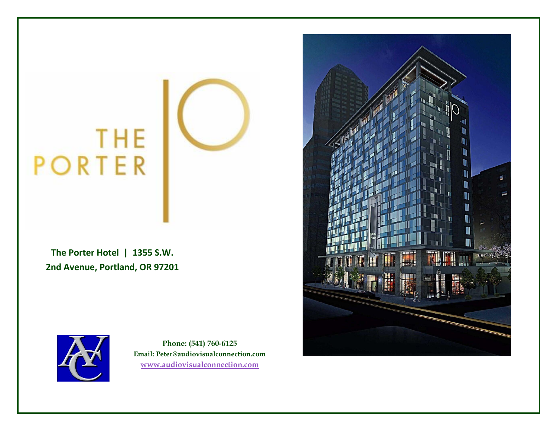# **THE**<br>PORTER

**The Porter Hotel | 1355 S.W. 2nd Avenue, Portland, OR 97201**



**Phone: (541) 760-6125 Email: Peter@audiovisualconnection.com [www.audiovisualconnection.com](http://www.audiovisualconnection.com/)**